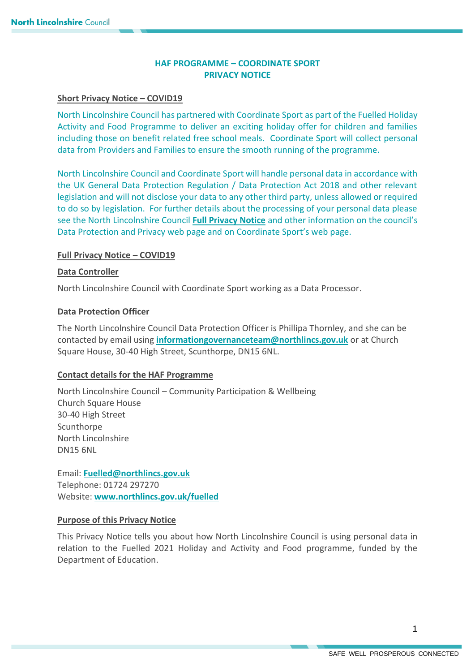# **HAF PROGRAMME – COORDINATE SPORT PRIVACY NOTICE**

### **Short Privacy Notice – COVID19**

North Lincolnshire Council has partnered with Coordinate Sport as part of the Fuelled Holiday Activity and Food Programme to deliver an exciting holiday offer for children and families including those on benefit related free school meals. Coordinate Sport will collect personal data from Providers and Families to ensure the smooth running of the programme.

North Lincolnshire Council and Coordinate Sport will handle personal data in accordance with the UK General Data Protection Regulation / Data Protection Act 2018 and other relevant legislation and will not disclose your data to any other third party, unless allowed or required to do so by legislation. For further details about the processing of your personal data please see the North Lincolnshire Council **[Full Privacy Notice](https://www.northlincs.gov.uk/your-council/about-your-council/information-and-performance/information-governance/data-protection-and-privacy/)** and other information on the council's Data Protection and Privacy web page and on Coordinate Sport's web page.

### **Full Privacy Notice – COVID19**

### **Data Controller**

North Lincolnshire Council with Coordinate Sport working as a Data Processor.

### **Data Protection Officer**

The North Lincolnshire Council Data Protection Officer is Phillipa Thornley, and she can be contacted by email using **[informationgovernanceteam@northlincs.gov.uk](mailto:informationgovernanceteam@northlincs.gov.uk)** or at Church Square House, 30-40 High Street, Scunthorpe, DN15 6NL.

#### **Contact details for the HAF Programme**

North Lincolnshire Council – Community Participation & Wellbeing Church Square House 30-40 High Street Scunthorpe North Lincolnshire DN15 6NL

Email: **[Fuelled@northlincs.gov.uk](mailto:Fuelled@northlincs.gov.uk)** Telephone: 01724 297270 Website: **[www.northlincs.gov.uk/fuelled](http://www.northlincs.gov.uk/fuelled)**

## **Purpose of this Privacy Notice**

This Privacy Notice tells you about how North Lincolnshire Council is using personal data in relation to the Fuelled 2021 Holiday and Activity and Food programme, funded by the Department of Education.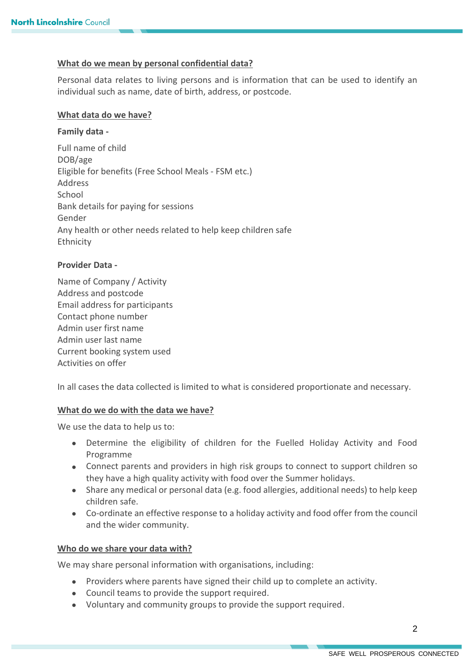## **What do we mean by personal confidential data?**

Personal data relates to living persons and is information that can be used to identify an individual such as name, date of birth, address, or postcode.

### **What data do we have?**

### **Family data -**

Full name of child DOB/age Eligible for benefits (Free School Meals - FSM etc.) Address School Bank details for paying for sessions Gender Any health or other needs related to help keep children safe Ethnicity

### **Provider Data -**

Name of Company / Activity Address and postcode Email address for participants Contact phone number Admin user first name Admin user last name Current booking system used Activities on offer

In all cases the data collected is limited to what is considered proportionate and necessary.

## **What do we do with the data we have?**

We use the data to help us to:

- Determine the eligibility of children for the Fuelled Holiday Activity and Food Programme
- Connect parents and providers in high risk groups to connect to support children so they have a high quality activity with food over the Summer holidays.
- Share any medical or personal data (e.g. food allergies, additional needs) to help keep children safe.
- Co-ordinate an effective response to a holiday activity and food offer from the council and the wider community.

## **Who do we share your data with?**

We may share personal information with organisations, including:

- Providers where parents have signed their child up to complete an activity.
- Council teams to provide the support required.
- Voluntary and community groups to provide the support required.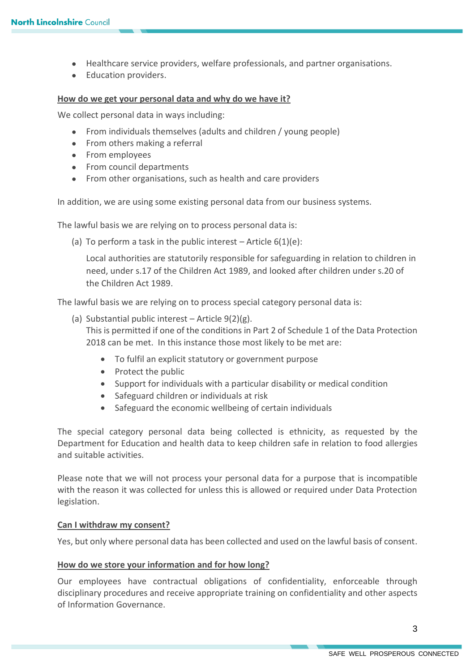- Healthcare service providers, welfare professionals, and partner organisations.
- Education providers.

#### **How do we get your personal data and why do we have it?**

We collect personal data in ways including:

- From individuals themselves (adults and children / young people)
- From others making a referral
- From employees
- From council departments
- From other organisations, such as health and care providers

In addition, we are using some existing personal data from our business systems.

The lawful basis we are relying on to process personal data is:

(a) To perform a task in the public interest  $-$  Article  $6(1)(e)$ :

Local authorities are statutorily responsible for safeguarding in relation to children in need, under s.17 of the Children Act 1989, and looked after children under s.20 of the Children Act 1989.

The lawful basis we are relying on to process special category personal data is:

- (a) Substantial public interest Article 9(2)(g). This is permitted if one of the conditions in Part 2 of Schedule 1 of the Data Protection 2018 can be met. In this instance those most likely to be met are:
	- To fulfil an explicit statutory or government purpose
	- Protect the public
	- Support for individuals with a particular disability or medical condition
	- Safeguard children or individuals at risk
	- Safeguard the economic wellbeing of certain individuals

The special category personal data being collected is ethnicity, as requested by the Department for Education and health data to keep children safe in relation to food allergies and suitable activities.

Please note that we will not process your personal data for a purpose that is incompatible with the reason it was collected for unless this is allowed or required under Data Protection legislation.

## **Can I withdraw my consent?**

Yes, but only where personal data has been collected and used on the lawful basis of consent.

#### **How do we store your information and for how long?**

Our employees have contractual obligations of confidentiality, enforceable through disciplinary procedures and receive appropriate training on confidentiality and other aspects of Information Governance.